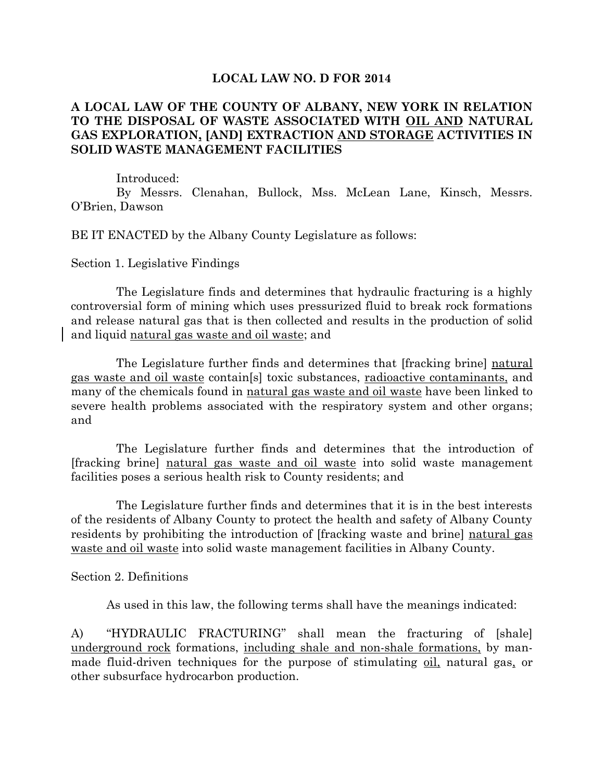## **LOCAL LAW NO. D FOR 2014**

## **A LOCAL LAW OF THE COUNTY OF ALBANY, NEW YORK IN RELATION TO THE DISPOSAL OF WASTE ASSOCIATED WITH OIL AND NATURAL GAS EXPLORATION, [AND] EXTRACTION AND STORAGE ACTIVITIES IN SOLID WASTE MANAGEMENT FACILITIES**

Introduced:

By Messrs. Clenahan, Bullock, Mss. McLean Lane, Kinsch, Messrs. O'Brien, Dawson

BE IT ENACTED by the Albany County Legislature as follows:

Section 1. Legislative Findings

The Legislature finds and determines that hydraulic fracturing is a highly controversial form of mining which uses pressurized fluid to break rock formations and release natural gas that is then collected and results in the production of solid and liquid natural gas waste and oil waste; and

The Legislature further finds and determines that [fracking brine] natural gas waste and oil waste contain[s] toxic substances, radioactive contaminants, and many of the chemicals found in natural gas waste and oil waste have been linked to severe health problems associated with the respiratory system and other organs; and

The Legislature further finds and determines that the introduction of [fracking brine] natural gas waste and oil waste into solid waste management facilities poses a serious health risk to County residents; and

The Legislature further finds and determines that it is in the best interests of the residents of Albany County to protect the health and safety of Albany County residents by prohibiting the introduction of [fracking waste and brine] natural gas waste and oil waste into solid waste management facilities in Albany County.

Section 2. Definitions

As used in this law, the following terms shall have the meanings indicated:

A) "HYDRAULIC FRACTURING" shall mean the fracturing of [shale] underground rock formations, including shale and non-shale formations, by manmade fluid-driven techniques for the purpose of stimulating oil, natural gas, or other subsurface hydrocarbon production.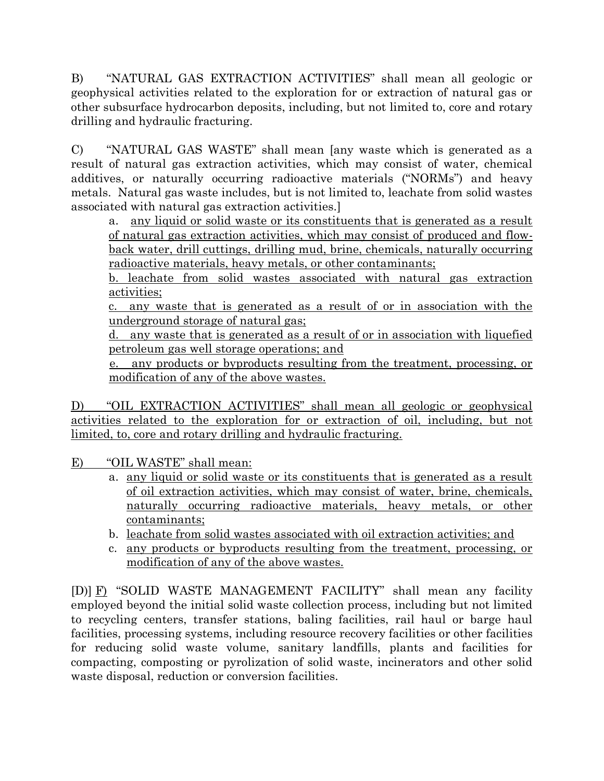B) "NATURAL GAS EXTRACTION ACTIVITIES" shall mean all geologic or geophysical activities related to the exploration for or extraction of natural gas or other subsurface hydrocarbon deposits, including, but not limited to, core and rotary drilling and hydraulic fracturing.

C) "NATURAL GAS WASTE" shall mean [any waste which is generated as a result of natural gas extraction activities, which may consist of water, chemical additives, or naturally occurring radioactive materials ("NORMs") and heavy metals. Natural gas waste includes, but is not limited to, leachate from solid wastes associated with natural gas extraction activities.]

a. any liquid or solid waste or its constituents that is generated as a result of natural gas extraction activities, which may consist of produced and flowback water, drill cuttings, drilling mud, brine, chemicals, naturally occurring radioactive materials, heavy metals, or other contaminants;

b. leachate from solid wastes associated with natural gas extraction activities;

c. any waste that is generated as a result of or in association with the underground storage of natural gas;

d. any waste that is generated as a result of or in association with liquefied petroleum gas well storage operations; and

e. any products or byproducts resulting from the treatment, processing, or modification of any of the above wastes.

D) "OIL EXTRACTION ACTIVITIES" shall mean all geologic or geophysical activities related to the exploration for or extraction of oil, including, but not limited, to, core and rotary drilling and hydraulic fracturing.

E) "OIL WASTE" shall mean:

- a. any liquid or solid waste or its constituents that is generated as a result of oil extraction activities, which may consist of water, brine, chemicals, naturally occurring radioactive materials, heavy metals, or other contaminants;
- b. leachate from solid wastes associated with oil extraction activities; and
- c. any products or byproducts resulting from the treatment, processing, or modification of any of the above wastes.

[D)] F) "SOLID WASTE MANAGEMENT FACILITY" shall mean any facility employed beyond the initial solid waste collection process, including but not limited to recycling centers, transfer stations, baling facilities, rail haul or barge haul facilities, processing systems, including resource recovery facilities or other facilities for reducing solid waste volume, sanitary landfills, plants and facilities for compacting, composting or pyrolization of solid waste, incinerators and other solid waste disposal, reduction or conversion facilities.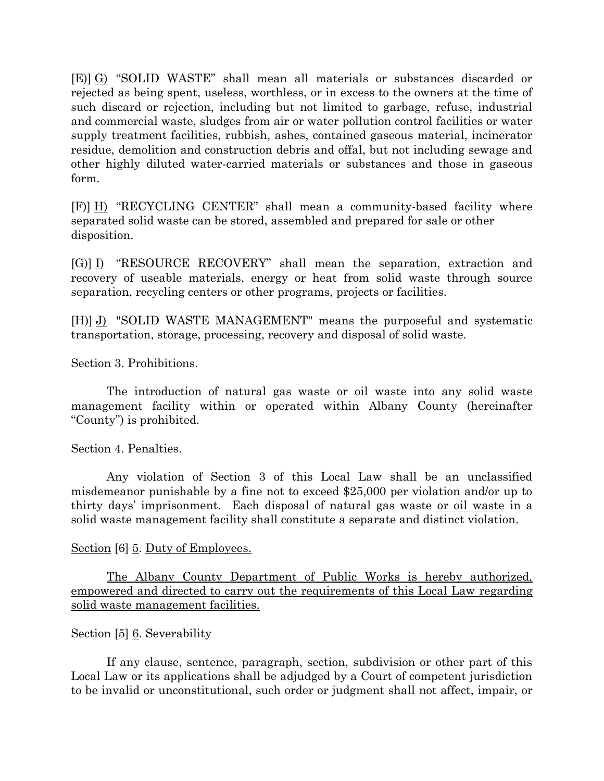[E)] G) "SOLID WASTE" shall mean all materials or substances discarded or rejected as being spent, useless, worthless, or in excess to the owners at the time of such discard or rejection, including but not limited to garbage, refuse, industrial and commercial waste, sludges from air or water pollution control facilities or water supply treatment facilities, rubbish, ashes, contained gaseous material, incinerator residue, demolition and construction debris and offal, but not including sewage and other highly diluted water-carried materials or substances and those in gaseous form.

[F)] H) "RECYCLING CENTER" shall mean a community-based facility where separated solid waste can be stored, assembled and prepared for sale or other disposition.

[G)] I) "RESOURCE RECOVERY" shall mean the separation, extraction and recovery of useable materials, energy or heat from solid waste through source separation, recycling centers or other programs, projects or facilities.

[H)] J) "SOLID WASTE MANAGEMENT" means the purposeful and systematic transportation, storage, processing, recovery and disposal of solid waste.

Section 3. Prohibitions.

The introduction of natural gas waste or oil waste into any solid waste management facility within or operated within Albany County (hereinafter "County") is prohibited.

Section 4. Penalties.

Any violation of Section 3 of this Local Law shall be an unclassified misdemeanor punishable by a fine not to exceed \$25,000 per violation and/or up to thirty days' imprisonment. Each disposal of natural gas waste or oil waste in a solid waste management facility shall constitute a separate and distinct violation.

## Section [6] 5. Duty of Employees.

The Albany County Department of Public Works is hereby authorized, empowered and directed to carry out the requirements of this Local Law regarding solid waste management facilities.

## Section [5]  $6.$  Severability

If any clause, sentence, paragraph, section, subdivision or other part of this Local Law or its applications shall be adjudged by a Court of competent jurisdiction to be invalid or unconstitutional, such order or judgment shall not affect, impair, or